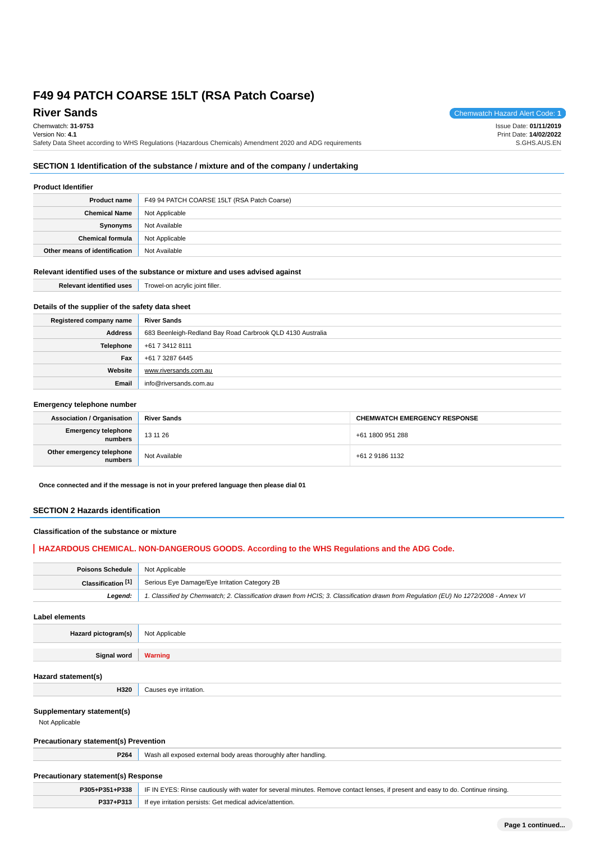# **River Sands** Chemwatch Hazard Alert Code: **1**

Chemwatch: **31-9753** Version No: **4.1** Safety Data Sheet according to WHS Regulations (Hazardous Chemicals) Amendment 2020 and ADG requirements Issue Date: **01/11/2019** Print Date: **14/02/2022** S.GHS.AUS.EN

# **SECTION 1 Identification of the substance / mixture and of the company / undertaking**

### **Product Identifier**

| <b>Product name</b>           | F49 94 PATCH COARSE 15LT (RSA Patch Coarse) |
|-------------------------------|---------------------------------------------|
| <b>Chemical Name</b>          | Not Applicable                              |
| Synonyms                      | Not Available                               |
| <b>Chemical formula</b>       | Not Applicable                              |
| Other means of identification | Not Available                               |

### **Relevant identified uses of the substance or mixture and uses advised against**

| <b>Relevant identified uses</b>                  | Trowel-on acrylic joint filler.                            |  |
|--------------------------------------------------|------------------------------------------------------------|--|
| Details of the supplier of the safety data sheet |                                                            |  |
| Registered company name                          | <b>River Sands</b>                                         |  |
| <b>Address</b>                                   | 683 Beenleigh-Redland Bay Road Carbrook QLD 4130 Australia |  |

| Auuress | 000 Deemeigh-Regianu Day Road Carbrook QLD 4100 Australia |
|---------|-----------------------------------------------------------|
|         | <b>Telephone</b> $+61734128111$                           |
| Fax     | +61 7 3287 6445                                           |
| Website | www.riversands.com.au                                     |
| Email   | info@riversands.com.au                                    |

#### **Emergency telephone number**

| <b>Association / Organisation</b>    | <b>River Sands</b> | <b>CHEMWATCH EMERGENCY RESPONSE</b> |
|--------------------------------------|--------------------|-------------------------------------|
| Emergency telephone<br>numbers       | 13 11 26           | +61 1800 951 288                    |
| Other emergency telephone<br>numbers | Not Available      | +61 2 9186 1132                     |

**Once connected and if the message is not in your prefered language then please dial 01**

#### **SECTION 2 Hazards identification**

### **Classification of the substance or mixture**

### **HAZARDOUS CHEMICAL. NON-DANGEROUS GOODS. According to the WHS Regulations and the ADG Code.**

| <b>Poisons Schedule</b> Not Applicable |                                                                                                                                     |
|----------------------------------------|-------------------------------------------------------------------------------------------------------------------------------------|
| Classification $[1]$                   | Serious Eye Damage/Eye Irritation Category 2B                                                                                       |
| Leaend:                                | 1. Classified by Chemwatch; 2. Classification drawn from HCIS; 3. Classification drawn from Requlation (EU) No 1272/2008 - Annex VI |

**Label elements**

**Hazard pictogram(s)** Not Applicable

**Signal word Warning**

### **Hazard statement(s)**

#### **Supplementary statement(s)**

Not Applicable

#### **Precautionary statement(s) Prevention**

**H320** Causes eye irritation.

**P264** Wash all exposed external body areas thoroughly after handling.

### **Precautionary statement(s) Response**

|           | P305+P351+P338   IF IN EYES: Rinse cautiously with water for several minutes. Remove contact lenses, if present and easy to do. Continue rinsing. |
|-----------|---------------------------------------------------------------------------------------------------------------------------------------------------|
| P337+P313 | If eye irritation persists: Get medical advice/attention.                                                                                         |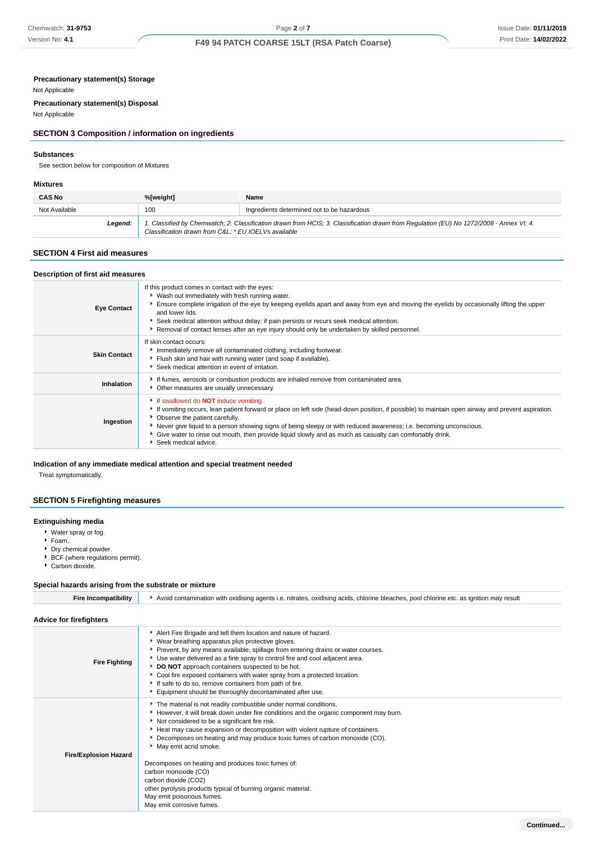#### **Precautionary statement(s) Storage**

#### Not Applicable

**Precautionary statement(s) Disposal**

Not Applicable

### **SECTION 3 Composition / information on ingredients**

#### **Substances**

See section below for composition of Mixtures

#### **Mixtures**

| <b>CAS No</b> | %[weight]                                           | Name                                                                                                                                    |
|---------------|-----------------------------------------------------|-----------------------------------------------------------------------------------------------------------------------------------------|
| Not Available | 100                                                 | Ingredients determined not to be hazardous                                                                                              |
| Legend:       | Classification drawn from C&L * EU IOELVs available | 1. Classified by Chemwatch; 2. Classification drawn from HCIS; 3. Classification drawn from Regulation (EU) No 1272/2008 - Annex VI; 4. |

### **SECTION 4 First aid measures**

| Description of first aid measures |                                                                                                                                                                                                                                                                                                                                                                                                                                                                                                  |
|-----------------------------------|--------------------------------------------------------------------------------------------------------------------------------------------------------------------------------------------------------------------------------------------------------------------------------------------------------------------------------------------------------------------------------------------------------------------------------------------------------------------------------------------------|
| <b>Eye Contact</b>                | If this product comes in contact with the eyes:<br>▶ Wash out immediately with fresh running water.<br>Ensure complete irrigation of the eye by keeping eyelids apart and away from eye and moving the eyelids by occasionally lifting the upper<br>and lower lids.<br>Seek medical attention without delay; if pain persists or recurs seek medical attention.<br>Removal of contact lenses after an eye injury should only be undertaken by skilled personnel.                                 |
| <b>Skin Contact</b>               | If skin contact occurs:<br>Immediately remove all contaminated clothing, including footwear.<br>Fiush skin and hair with running water (and soap if available).<br>Seek medical attention in event of irritation.                                                                                                                                                                                                                                                                                |
| Inhalation                        | If fumes, aerosols or combustion products are inhaled remove from contaminated area.<br>• Other measures are usually unnecessary.                                                                                                                                                                                                                                                                                                                                                                |
| Ingestion                         | If swallowed do <b>NOT</b> induce vomiting.<br>If vomiting occurs, lean patient forward or place on left side (head-down position, if possible) to maintain open airway and prevent aspiration.<br>• Observe the patient carefully.<br>▶ Never give liquid to a person showing signs of being sleepy or with reduced awareness; i.e. becoming unconscious.<br>• Give water to rinse out mouth, then provide liquid slowly and as much as casualty can comfortably drink.<br>Seek medical advice. |

### **Indication of any immediate medical attention and special treatment needed**

Treat symptomatically.

# **SECTION 5 Firefighting measures**

#### **Extinguishing media**

- Water spray or fog.
- Foam.
- Dry chemical powder.
- BCF (where regulations permit).
- Carbon dioxide.

# **Special hazards arising from the substrate or mixture**

| <b>Fire Incompatibility</b>    | Avoid contamination with oxidising agents i.e. nitrates, oxidising acids, chlorine bleaches, pool chlorine etc. as ignition may result                                                                                                                                                                                                                                                                                                                                                                                                                                                                                                  |
|--------------------------------|-----------------------------------------------------------------------------------------------------------------------------------------------------------------------------------------------------------------------------------------------------------------------------------------------------------------------------------------------------------------------------------------------------------------------------------------------------------------------------------------------------------------------------------------------------------------------------------------------------------------------------------------|
| <b>Advice for firefighters</b> |                                                                                                                                                                                                                                                                                                                                                                                                                                                                                                                                                                                                                                         |
| <b>Fire Fighting</b>           | Alert Fire Brigade and tell them location and nature of hazard.<br>▶ Wear breathing apparatus plus protective gloves.<br>Prevent, by any means available, spillage from entering drains or water courses.<br>▶ Use water delivered as a fine spray to control fire and cool adjacent area.<br>DO NOT approach containers suspected to be hot.<br>Cool fire exposed containers with water spray from a protected location.<br>If safe to do so, remove containers from path of fire.<br>Equipment should be thoroughly decontaminated after use.                                                                                         |
| <b>Fire/Explosion Hazard</b>   | The material is not readily combustible under normal conditions.<br>► However, it will break down under fire conditions and the organic component may burn.<br>Not considered to be a significant fire risk.<br>Heat may cause expansion or decomposition with violent rupture of containers.<br>▶ Decomposes on heating and may produce toxic fumes of carbon monoxide (CO).<br>May emit acrid smoke.<br>Decomposes on heating and produces toxic fumes of:<br>carbon monoxide (CO)<br>carbon dioxide (CO2)<br>other pyrolysis products typical of burning organic material.<br>May emit poisonous fumes.<br>May emit corrosive fumes. |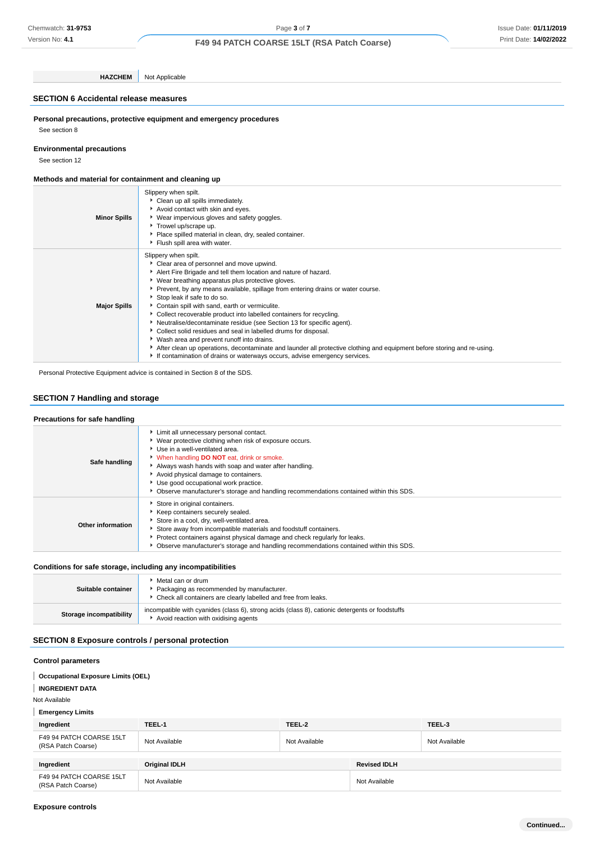**HAZCHEM** Not Applicable

### **SECTION 6 Accidental release measures**

**Personal precautions, protective equipment and emergency procedures** See section 8

**Environmental precautions**

See section 12

#### **Methods and material for containment and cleaning up**

| <b>Minor Spills</b> | Slippery when spilt.<br>Clean up all spills immediately.<br>Avoid contact with skin and eyes.<br>▶ Wear impervious gloves and safety goggles.<br>Trowel up/scrape up.<br>Place spilled material in clean, dry, sealed container.<br>Flush spill area with water.                                                                                                                                                                                                                                                                                                                                                                                                                                                                                                                                                                         |
|---------------------|------------------------------------------------------------------------------------------------------------------------------------------------------------------------------------------------------------------------------------------------------------------------------------------------------------------------------------------------------------------------------------------------------------------------------------------------------------------------------------------------------------------------------------------------------------------------------------------------------------------------------------------------------------------------------------------------------------------------------------------------------------------------------------------------------------------------------------------|
| <b>Major Spills</b> | Slippery when spilt.<br>Clear area of personnel and move upwind.<br>Alert Fire Brigade and tell them location and nature of hazard.<br>▶ Wear breathing apparatus plus protective gloves.<br>▶ Prevent, by any means available, spillage from entering drains or water course.<br>Stop leak if safe to do so.<br>Contain spill with sand, earth or vermiculite.<br>Collect recoverable product into labelled containers for recycling.<br>Neutralise/decontaminate residue (see Section 13 for specific agent).<br>Collect solid residues and seal in labelled drums for disposal.<br>Wash area and prevent runoff into drains.<br>After clean up operations, decontaminate and launder all protective clothing and equipment before storing and re-using.<br>If contamination of drains or waterways occurs, advise emergency services. |

Personal Protective Equipment advice is contained in Section 8 of the SDS.

### **SECTION 7 Handling and storage**

| Precautions for safe handling |                                                                                                                                                                                                                                                                                                                                                                                                                         |
|-------------------------------|-------------------------------------------------------------------------------------------------------------------------------------------------------------------------------------------------------------------------------------------------------------------------------------------------------------------------------------------------------------------------------------------------------------------------|
| Safe handling                 | Limit all unnecessary personal contact.<br>▶ Wear protective clothing when risk of exposure occurs.<br>Use in a well-ventilated area.<br>V When handling DO NOT eat, drink or smoke.<br>Always wash hands with soap and water after handling.<br>Avoid physical damage to containers.<br>Use good occupational work practice.<br>Observe manufacturer's storage and handling recommendations contained within this SDS. |
| <b>Other information</b>      | Store in original containers.<br>Keep containers securely sealed.<br>Store in a cool, dry, well-ventilated area.<br>Store away from incompatible materials and foodstuff containers.<br>Protect containers against physical damage and check regularly for leaks.<br>Observe manufacturer's storage and handling recommendations contained within this SDS.                                                             |

#### **Conditions for safe storage, including any incompatibilities**

| Suitable container      | $\blacktriangleright$ Metal can or drum .<br>Packaging as recommended by manufacturer.<br>• Check all containers are clearly labelled and free from leaks. |
|-------------------------|------------------------------------------------------------------------------------------------------------------------------------------------------------|
| Storage incompatibility | incompatible with cyanides (class 6), strong acids (class 8), cationic detergents or foodstuffs<br>Avoid reaction with oxidising agents                    |

### **SECTION 8 Exposure controls / personal protection**

### **Control parameters**

**Occupational Exposure Limits (OEL)**

**INGREDIENT DATA**

Not Available

**Emergency Limits**

| Ingredient                                     | TEEL-1        | TEEL-2        |                     | TEEL-3        |
|------------------------------------------------|---------------|---------------|---------------------|---------------|
| F49 94 PATCH COARSE 15LT<br>(RSA Patch Coarse) | Not Available | Not Available |                     | Not Available |
| Ingredient                                     | Original IDLH |               | <b>Revised IDLH</b> |               |
| F49 94 PATCH COARSE 15LT<br>(RSA Patch Coarse) | Not Available |               | Not Available       |               |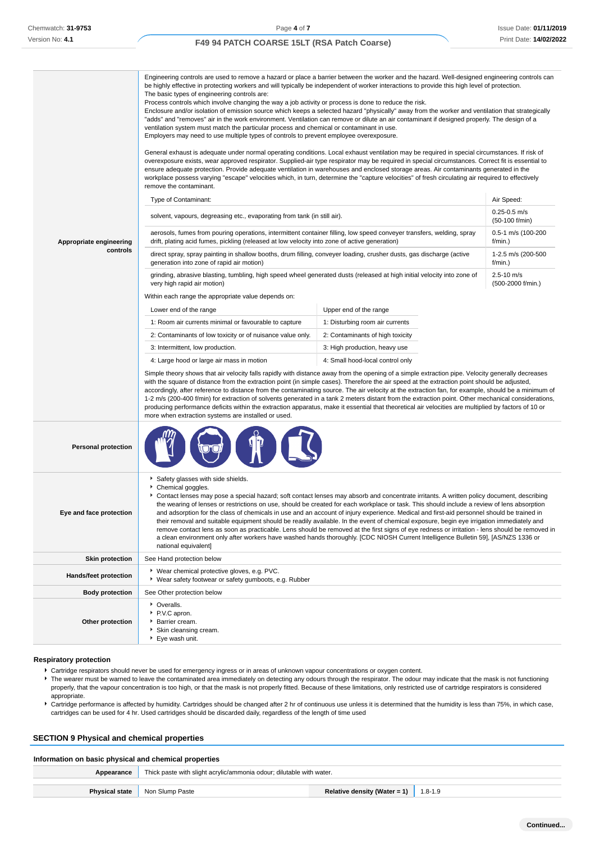|                            | Engineering controls are used to remove a hazard or place a barrier between the worker and the hazard. Well-designed engineering controls can<br>be highly effective in protecting workers and will typically be independent of worker interactions to provide this high level of protection.<br>The basic types of engineering controls are:<br>Process controls which involve changing the way a job activity or process is done to reduce the risk.<br>Enclosure and/or isolation of emission source which keeps a selected hazard "physically" away from the worker and ventilation that strategically<br>"adds" and "removes" air in the work environment. Ventilation can remove or dilute an air contaminant if designed properly. The design of a<br>ventilation system must match the particular process and chemical or contaminant in use.<br>Employers may need to use multiple types of controls to prevent employee overexposure.<br>General exhaust is adequate under normal operating conditions. Local exhaust ventilation may be required in special circumstances. If risk of<br>overexposure exists, wear approved respirator. Supplied-air type respirator may be required in special circumstances. Correct fit is essential to<br>ensure adequate protection. Provide adequate ventilation in warehouses and enclosed storage areas. Air contaminants generated in the<br>workplace possess varying "escape" velocities which, in turn, determine the "capture velocities" of fresh circulating air required to effectively<br>remove the contaminant. |                                  |                                     |  |
|----------------------------|-------------------------------------------------------------------------------------------------------------------------------------------------------------------------------------------------------------------------------------------------------------------------------------------------------------------------------------------------------------------------------------------------------------------------------------------------------------------------------------------------------------------------------------------------------------------------------------------------------------------------------------------------------------------------------------------------------------------------------------------------------------------------------------------------------------------------------------------------------------------------------------------------------------------------------------------------------------------------------------------------------------------------------------------------------------------------------------------------------------------------------------------------------------------------------------------------------------------------------------------------------------------------------------------------------------------------------------------------------------------------------------------------------------------------------------------------------------------------------------------------------------------------------------------------------------------------------|----------------------------------|-------------------------------------|--|
|                            | Type of Contaminant:                                                                                                                                                                                                                                                                                                                                                                                                                                                                                                                                                                                                                                                                                                                                                                                                                                                                                                                                                                                                                                                                                                                                                                                                                                                                                                                                                                                                                                                                                                                                                          |                                  | Air Speed:                          |  |
|                            | solvent, vapours, degreasing etc., evaporating from tank (in still air).                                                                                                                                                                                                                                                                                                                                                                                                                                                                                                                                                                                                                                                                                                                                                                                                                                                                                                                                                                                                                                                                                                                                                                                                                                                                                                                                                                                                                                                                                                      |                                  | $0.25 - 0.5$ m/s<br>(50-100 f/min)  |  |
| Appropriate engineering    | aerosols, fumes from pouring operations, intermittent container filling, low speed conveyer transfers, welding, spray<br>drift, plating acid fumes, pickling (released at low velocity into zone of active generation)                                                                                                                                                                                                                                                                                                                                                                                                                                                                                                                                                                                                                                                                                                                                                                                                                                                                                                                                                                                                                                                                                                                                                                                                                                                                                                                                                        |                                  | 0.5-1 m/s (100-200<br>f/min.)       |  |
| controls                   | direct spray, spray painting in shallow booths, drum filling, conveyer loading, crusher dusts, gas discharge (active<br>generation into zone of rapid air motion)                                                                                                                                                                                                                                                                                                                                                                                                                                                                                                                                                                                                                                                                                                                                                                                                                                                                                                                                                                                                                                                                                                                                                                                                                                                                                                                                                                                                             |                                  | 1-2.5 m/s (200-500<br>f/min.)       |  |
|                            | grinding, abrasive blasting, tumbling, high speed wheel generated dusts (released at high initial velocity into zone of<br>very high rapid air motion)<br>Within each range the appropriate value depends on:                                                                                                                                                                                                                                                                                                                                                                                                                                                                                                                                                                                                                                                                                                                                                                                                                                                                                                                                                                                                                                                                                                                                                                                                                                                                                                                                                                 |                                  | $2.5 - 10$ m/s<br>(500-2000 f/min.) |  |
|                            | Lower end of the range                                                                                                                                                                                                                                                                                                                                                                                                                                                                                                                                                                                                                                                                                                                                                                                                                                                                                                                                                                                                                                                                                                                                                                                                                                                                                                                                                                                                                                                                                                                                                        | Upper end of the range           |                                     |  |
|                            | 1: Room air currents minimal or favourable to capture                                                                                                                                                                                                                                                                                                                                                                                                                                                                                                                                                                                                                                                                                                                                                                                                                                                                                                                                                                                                                                                                                                                                                                                                                                                                                                                                                                                                                                                                                                                         | 1: Disturbing room air currents  |                                     |  |
|                            | 2: Contaminants of low toxicity or of nuisance value only.                                                                                                                                                                                                                                                                                                                                                                                                                                                                                                                                                                                                                                                                                                                                                                                                                                                                                                                                                                                                                                                                                                                                                                                                                                                                                                                                                                                                                                                                                                                    | 2: Contaminants of high toxicity |                                     |  |
|                            | 3: Intermittent, low production.                                                                                                                                                                                                                                                                                                                                                                                                                                                                                                                                                                                                                                                                                                                                                                                                                                                                                                                                                                                                                                                                                                                                                                                                                                                                                                                                                                                                                                                                                                                                              | 3: High production, heavy use    |                                     |  |
|                            | 4: Large hood or large air mass in motion                                                                                                                                                                                                                                                                                                                                                                                                                                                                                                                                                                                                                                                                                                                                                                                                                                                                                                                                                                                                                                                                                                                                                                                                                                                                                                                                                                                                                                                                                                                                     | 4: Small hood-local control only |                                     |  |
|                            | Simple theory shows that air velocity falls rapidly with distance away from the opening of a simple extraction pipe. Velocity generally decreases<br>with the square of distance from the extraction point (in simple cases). Therefore the air speed at the extraction point should be adjusted,<br>accordingly, after reference to distance from the contaminating source. The air velocity at the extraction fan, for example, should be a minimum of<br>1-2 m/s (200-400 f/min) for extraction of solvents generated in a tank 2 meters distant from the extraction point. Other mechanical considerations,<br>producing performance deficits within the extraction apparatus, make it essential that theoretical air velocities are multiplied by factors of 10 or<br>more when extraction systems are installed or used.                                                                                                                                                                                                                                                                                                                                                                                                                                                                                                                                                                                                                                                                                                                                                |                                  |                                     |  |
| <b>Personal protection</b> |                                                                                                                                                                                                                                                                                                                                                                                                                                                                                                                                                                                                                                                                                                                                                                                                                                                                                                                                                                                                                                                                                                                                                                                                                                                                                                                                                                                                                                                                                                                                                                               |                                  |                                     |  |
| Eye and face protection    | Safety glasses with side shields.<br>Chemical goggles.<br>▶ Contact lenses may pose a special hazard; soft contact lenses may absorb and concentrate irritants. A written policy document, describing<br>the wearing of lenses or restrictions on use, should be created for each workplace or task. This should include a review of lens absorption<br>and adsorption for the class of chemicals in use and an account of injury experience. Medical and first-aid personnel should be trained in<br>their removal and suitable equipment should be readily available. In the event of chemical exposure, begin eye irrigation immediately and<br>remove contact lens as soon as practicable. Lens should be removed at the first signs of eye redness or irritation - lens should be removed in<br>a clean environment only after workers have washed hands thoroughly. [CDC NIOSH Current Intelligence Bulletin 59], [AS/NZS 1336 or<br>national equivalent]                                                                                                                                                                                                                                                                                                                                                                                                                                                                                                                                                                                                               |                                  |                                     |  |
| <b>Skin protection</b>     | See Hand protection below                                                                                                                                                                                                                                                                                                                                                                                                                                                                                                                                                                                                                                                                                                                                                                                                                                                                                                                                                                                                                                                                                                                                                                                                                                                                                                                                                                                                                                                                                                                                                     |                                  |                                     |  |
| Hands/feet protection      | ▶ Wear chemical protective gloves, e.g. PVC.<br>▶ Wear safety footwear or safety gumboots, e.g. Rubber                                                                                                                                                                                                                                                                                                                                                                                                                                                                                                                                                                                                                                                                                                                                                                                                                                                                                                                                                                                                                                                                                                                                                                                                                                                                                                                                                                                                                                                                        |                                  |                                     |  |
| <b>Body protection</b>     | See Other protection below                                                                                                                                                                                                                                                                                                                                                                                                                                                                                                                                                                                                                                                                                                                                                                                                                                                                                                                                                                                                                                                                                                                                                                                                                                                                                                                                                                                                                                                                                                                                                    |                                  |                                     |  |
| Other protection           | • Overalls.<br>P.V.C apron.<br>Barrier cream.<br>Skin cleansing cream.<br>▶ Eye wash unit.                                                                                                                                                                                                                                                                                                                                                                                                                                                                                                                                                                                                                                                                                                                                                                                                                                                                                                                                                                                                                                                                                                                                                                                                                                                                                                                                                                                                                                                                                    |                                  |                                     |  |

#### **Respiratory protection**

- Cartridge respirators should never be used for emergency ingress or in areas of unknown vapour concentrations or oxygen content.
- The wearer must be warned to leave the contaminated area immediately on detecting any odours through the respirator. The odour may indicate that the mask is not functioning properly, that the vapour concentration is too high, or that the mask is not properly fitted. Because of these limitations, only restricted use of cartridge respirators is considered appropriate.
- Cartridge performance is affected by humidity. Cartridges should be changed after 2 hr of continuous use unless it is determined that the humidity is less than 75%, in which case, cartridges can be used for 4 hr. Used cartridges should be discarded daily, regardless of the length of time used

### **SECTION 9 Physical and chemical properties**

#### **Information on basic physical and chemical properties**

| Appearance | Thick paste with slight acrylic/ammonia odour; dilutable with water. |                                              |  |
|------------|----------------------------------------------------------------------|----------------------------------------------|--|
|            | <b>Physical state</b> Non Slump Paste                                | Relative density (Water = 1) $\vert$ 1.8-1.9 |  |
|            |                                                                      |                                              |  |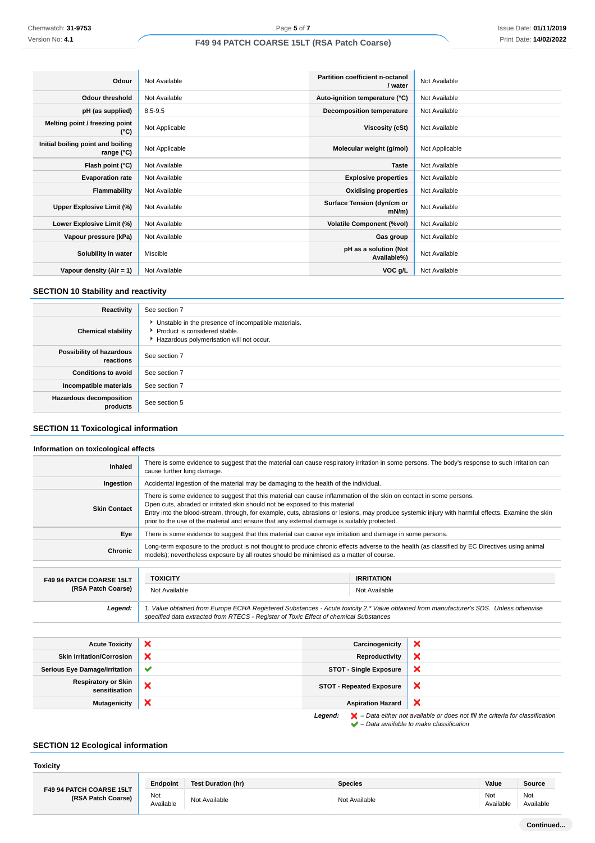| Odour                                           | Not Available  | Partition coefficient n-octanol<br>/ water | Not Available  |
|-------------------------------------------------|----------------|--------------------------------------------|----------------|
| Odour threshold                                 | Not Available  | Auto-ignition temperature (°C)             | Not Available  |
| pH (as supplied)                                | $8.5 - 9.5$    | <b>Decomposition temperature</b>           | Not Available  |
| Melting point / freezing point<br>(°C)          | Not Applicable | Viscosity (cSt)                            | Not Available  |
| Initial boiling point and boiling<br>range (°C) | Not Applicable | Molecular weight (g/mol)                   | Not Applicable |
| Flash point (°C)                                | Not Available  | <b>Taste</b>                               | Not Available  |
| <b>Evaporation rate</b>                         | Not Available  | <b>Explosive properties</b>                | Not Available  |
| Flammability                                    | Not Available  | <b>Oxidising properties</b>                | Not Available  |
| Upper Explosive Limit (%)                       | Not Available  | Surface Tension (dyn/cm or<br>$mN/m$ )     | Not Available  |
| Lower Explosive Limit (%)                       | Not Available  | <b>Volatile Component (%vol)</b>           | Not Available  |
| Vapour pressure (kPa)                           | Not Available  | Gas group                                  | Not Available  |
| Solubility in water                             | Miscible       | pH as a solution (Not<br>Available%)       | Not Available  |
| Vapour density (Air = 1)                        | Not Available  | VOC g/L                                    | Not Available  |

### **SECTION 10 Stability and reactivity**

| Reactivity                                 | See section 7                                                                                                                        |
|--------------------------------------------|--------------------------------------------------------------------------------------------------------------------------------------|
| <b>Chemical stability</b>                  | • Unstable in the presence of incompatible materials.<br>▶ Product is considered stable.<br>Hazardous polymerisation will not occur. |
| Possibility of hazardous<br>reactions      | See section 7                                                                                                                        |
| <b>Conditions to avoid</b>                 | See section 7                                                                                                                        |
| Incompatible materials                     | See section 7                                                                                                                        |
| <b>Hazardous decomposition</b><br>products | See section 5                                                                                                                        |

# **SECTION 11 Toxicological information**

#### **Information on toxicological effects**

| Inhaled                                     | There is some evidence to suggest that the material can cause respiratory irritation in some persons. The body's response to such irritation can<br>cause further lung damage.                                                                                                                                                                                                                                                                         |                                 |   |
|---------------------------------------------|--------------------------------------------------------------------------------------------------------------------------------------------------------------------------------------------------------------------------------------------------------------------------------------------------------------------------------------------------------------------------------------------------------------------------------------------------------|---------------------------------|---|
| Ingestion                                   | Accidental ingestion of the material may be damaging to the health of the individual.                                                                                                                                                                                                                                                                                                                                                                  |                                 |   |
| <b>Skin Contact</b>                         | There is some evidence to suggest that this material can cause inflammation of the skin on contact in some persons.<br>Open cuts, abraded or irritated skin should not be exposed to this material<br>Entry into the blood-stream, through, for example, cuts, abrasions or lesions, may produce systemic injury with harmful effects. Examine the skin<br>prior to the use of the material and ensure that any external damage is suitably protected. |                                 |   |
| Eye                                         | There is some evidence to suggest that this material can cause eye irritation and damage in some persons.                                                                                                                                                                                                                                                                                                                                              |                                 |   |
| <b>Chronic</b>                              | Long-term exposure to the product is not thought to produce chronic effects adverse to the health (as classified by EC Directives using animal<br>models); nevertheless exposure by all routes should be minimised as a matter of course.                                                                                                                                                                                                              |                                 |   |
|                                             |                                                                                                                                                                                                                                                                                                                                                                                                                                                        |                                 |   |
| F49 94 PATCH COARSE 15LT                    | <b>TOXICITY</b><br><b>IRRITATION</b>                                                                                                                                                                                                                                                                                                                                                                                                                   |                                 |   |
| (RSA Patch Coarse)                          | Not Available<br>Not Available                                                                                                                                                                                                                                                                                                                                                                                                                         |                                 |   |
| Legend:                                     | 1. Value obtained from Europe ECHA Registered Substances - Acute toxicity 2.* Value obtained from manufacturer's SDS. Unless otherwise<br>specified data extracted from RTECS - Register of Toxic Effect of chemical Substances                                                                                                                                                                                                                        |                                 |   |
|                                             |                                                                                                                                                                                                                                                                                                                                                                                                                                                        |                                 |   |
| <b>Acute Toxicity</b>                       | ×                                                                                                                                                                                                                                                                                                                                                                                                                                                      | Carcinogenicity                 | × |
| <b>Skin Irritation/Corrosion</b>            | ×                                                                                                                                                                                                                                                                                                                                                                                                                                                      | Reproductivity                  | × |
| <b>Serious Eye Damage/Irritation</b>        | ✔                                                                                                                                                                                                                                                                                                                                                                                                                                                      | <b>STOT - Single Exposure</b>   | × |
| <b>Respiratory or Skin</b><br>sensitisation | ×                                                                                                                                                                                                                                                                                                                                                                                                                                                      | <b>STOT - Repeated Exposure</b> | × |

**Legend:**  $\mathbf{X}$  – Data either not available or does not fill the criteria for classification

– Data available to make classification

 $\boldsymbol{\mathsf{x}}$ 

# **SECTION 12 Ecological information**

| <b>Toxicity</b>                                |                  |                    |                |                  |                  |
|------------------------------------------------|------------------|--------------------|----------------|------------------|------------------|
|                                                | Endpoint         | Test Duration (hr) | <b>Species</b> | Value            | <b>Source</b>    |
| F49 94 PATCH COARSE 15LT<br>(RSA Patch Coarse) | Not<br>Available | Not Available      | Not Available  | Not<br>Available | Not<br>Available |

**Mutagenicity X Aspiration Hazard**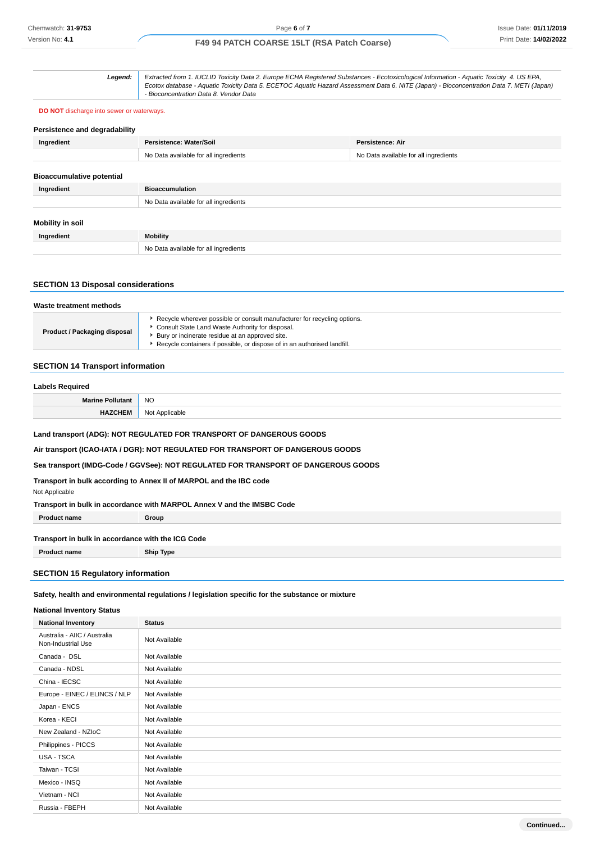**Legend:** Extracted from 1. IUCLID Toxicity Data 2. Europe ECHA Registered Substances - Ecotoxicological Information - Aquatic Toxicity 4. US EPA, Ecotox database - Aquatic Toxicity Data 5. ECETOC Aquatic Hazard Assessment Data 6. NITE (Japan) - Bioconcentration Data 7. METI (Japan) - Bioconcentration Data 8. Vendor Data

#### **DO NOT** discharge into sewer or waterways.

| Persistence and degradability    |                                       |                                       |  |
|----------------------------------|---------------------------------------|---------------------------------------|--|
| Ingredient                       | Persistence: Water/Soil               | Persistence: Air                      |  |
|                                  | No Data available for all ingredients | No Data available for all ingredients |  |
|                                  |                                       |                                       |  |
| <b>Bioaccumulative potential</b> |                                       |                                       |  |
| Ingredient                       | <b>Bioaccumulation</b>                |                                       |  |
|                                  | No Data available for all ingredients |                                       |  |
|                                  |                                       |                                       |  |
| Mobility in soil                 |                                       |                                       |  |
| Ingredient                       | <b>Mobility</b>                       |                                       |  |
|                                  | No Data available for all ingredients |                                       |  |
|                                  |                                       |                                       |  |

### **SECTION 13 Disposal considerations**

| Waste treatment methods      |                                                                                                                                                                                                                                                             |  |
|------------------------------|-------------------------------------------------------------------------------------------------------------------------------------------------------------------------------------------------------------------------------------------------------------|--|
| Product / Packaging disposal | Recycle wherever possible or consult manufacturer for recycling options.<br>Consult State Land Waste Authority for disposal.<br>Bury or incinerate residue at an approved site.<br>Recycle containers if possible, or dispose of in an authorised landfill. |  |

### **SECTION 14 Transport information**

# **Labels Required Marine Pollutant** NO **HAZCHEM** Not Applicable

**Land transport (ADG): NOT REGULATED FOR TRANSPORT OF DANGEROUS GOODS**

**Air transport (ICAO-IATA / DGR): NOT REGULATED FOR TRANSPORT OF DANGEROUS GOODS**

**Sea transport (IMDG-Code / GGVSee): NOT REGULATED FOR TRANSPORT OF DANGEROUS GOODS**

**Transport in bulk according to Annex II of MARPOL and the IBC code**

Not Applicable

**Transport in bulk in accordance with MARPOL Annex V and the IMSBC Code**

**Product name Group** 

#### **Transport in bulk in accordance with the ICG Code**

**Product name Ship Type**

### **SECTION 15 Regulatory information**

### **Safety, health and environmental regulations / legislation specific for the substance or mixture**

### **National Inventory Status**

| <b>National Inventory</b>                          | <b>Status</b> |
|----------------------------------------------------|---------------|
| Australia - AIIC / Australia<br>Non-Industrial Use | Not Available |
| Canada - DSL                                       | Not Available |
| Canada - NDSL                                      | Not Available |
| China - IECSC                                      | Not Available |
| Europe - EINEC / ELINCS / NLP                      | Not Available |
| Japan - ENCS                                       | Not Available |
| Korea - KECI                                       | Not Available |
| New Zealand - NZIoC                                | Not Available |
| Philippines - PICCS                                | Not Available |
| USA - TSCA                                         | Not Available |
| Taiwan - TCSI                                      | Not Available |
| Mexico - INSQ                                      | Not Available |
| Vietnam - NCI                                      | Not Available |
| Russia - FBEPH                                     | Not Available |